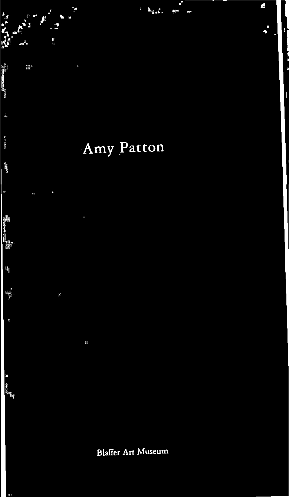